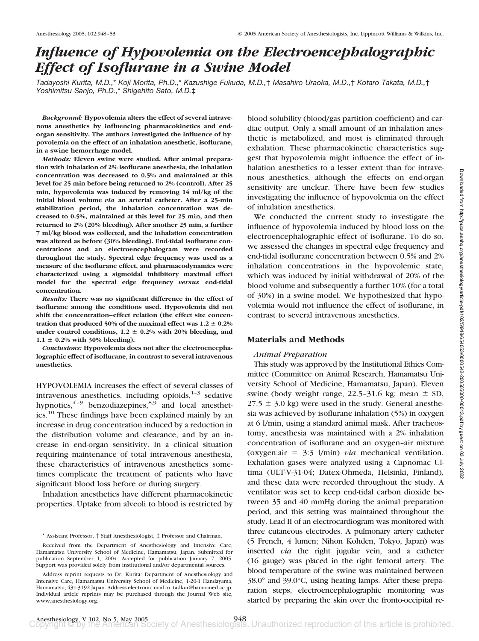# *Influence of Hypovolemia on the Electroencephalographic Effect of Isoflurane in a Swine Model*

*Tadayoshi Kurita, M.D.,*\* *Koji Morita, Ph.D.,*\* *Kazushige Fukuda, M.D.,*† *Masahiro Uraoka, M.D.,*† *Kotaro Takata, M.D.,*† *Yoshimitsu Sanjo, Ph.D.,*\* *Shigehito Sato, M.D.*‡

*Background:* **Hypovolemia alters the effect of several intravenous anesthetics by influencing pharmacokinetics and endorgan sensitivity. The authors investigated the influence of hypovolemia on the effect of an inhalation anesthetic, isoflurane, in a swine hemorrhage model.**

*Methods:* **Eleven swine were studied. After animal preparation with inhalation of 2% isoflurane anesthesia, the inhalation concentration was decreased to 0.5% and maintained at this level for 25 min before being returned to 2% (control). After 25 min, hypovolemia was induced by removing 14 ml/kg of the initial blood volume** *via* **an arterial catheter. After a 25-min stabilization period, the inhalation concentration was decreased to 0.5%, maintained at this level for 25 min, and then returned to 2% (20% bleeding). After another 25 min, a further 7 ml/kg blood was collected, and the inhalation concentration was altered as before (30% bleeding). End-tidal isoflurane concentrations and an electroencephalogram were recorded throughout the study. Spectral edge frequency was used as a measure of the isoflurane effect, and pharmacodynamics were characterized using a sigmoidal inhibitory maximal effect model for the spectral edge frequency** *versus* **end-tidal concentration.**

*Results:* **There was no significant difference in the effect of isoflurane among the conditions used. Hypovolemia did not** shift the concentration-effect relation (the effect site concen**tration that produced 50% of the maximal effect was**  $1.2 \pm 0.2\%$ under control conditions,  $1.2 \pm 0.2\%$  with 20% bleeding, and  $1.1 \pm 0.2\%$  with 30% bleeding).

*Conclusions:* **Hypovolemia does not alter the electroencephalographic effect of isoflurane, in contrast to several intravenous anesthetics.**

HYPOVOLEMIA increases the effect of several classes of intravenous anesthetics, including opioids, $1-3$  sedative hypnotics, $4-9$  benzodiazepines, $8,9$  and local anesthetics.10 These findings have been explained mainly by an increase in drug concentration induced by a reduction in the distribution volume and clearance, and by an increase in end-organ sensitivity. In a clinical situation requiring maintenance of total intravenous anesthesia, these characteristics of intravenous anesthetics sometimes complicate the treatment of patients who have significant blood loss before or during surgery.

Inhalation anesthetics have different pharmacokinetic properties. Uptake from alveoli to blood is restricted by blood solubility (blood/gas partition coefficient) and cardiac output. Only a small amount of an inhalation anesthetic is metabolized, and most is eliminated through exhalation. These pharmacokinetic characteristics suggest that hypovolemia might influence the effect of inhalation anesthetics to a lesser extent than for intravenous anesthetics, although the effects on end-organ sensitivity are unclear. There have been few studies investigating the influence of hypovolemia on the effect of inhalation anesthetics.

We conducted the current study to investigate the influence of hypovolemia induced by blood loss on the electroencephalographic effect of isoflurane. To do so, we assessed the changes in spectral edge frequency and end-tidal isoflurane concentration between 0.5% and 2% inhalation concentrations in the hypovolemic state, which was induced by initial withdrawal of 20% of the blood volume and subsequently a further 10% (for a total of 30%) in a swine model. We hypothesized that hypovolemia would not influence the effect of isoflurane, in contrast to several intravenous anesthetics.

#### **Materials and Methods**

#### *Animal Preparation*

This study was approved by the Institutional Ethics Committee (Committee on Animal Research, Hamamatsu University School of Medicine, Hamamatsu, Japan). Eleven swine (body weight range,  $22.5-31.6$  kg; mean  $\pm$  SD,  $27.5 \pm 3.0$  kg) were used in the study. General anesthesia was achieved by isoflurane inhalation (5%) in oxygen at 6 l/min, using a standard animal mask. After tracheostomy, anesthesia was maintained with a 2% inhalation concentration of isoflurane and an oxygen–air mixture (oxygen:air =  $3:3$  l/min) *via* mechanical ventilation. Exhalation gases were analyzed using a Capnomac Ultima (ULT-V-31-04; Datex-Ohmeda, Helsinki, Finland), and these data were recorded throughout the study. A ventilator was set to keep end-tidal carbon dioxide between 35 and 40 mmHg during the animal preparation period, and this setting was maintained throughout the study. Lead II of an electrocardiogram was monitored with three cutaneous electrodes. A pulmonary artery catheter (5 French, 4 lumen; Nihon Kohden, Tokyo, Japan) was inserted *via* the right jugular vein, and a catheter (16 gauge) was placed in the right femoral artery. The blood temperature of the swine was maintained between 38.0° and 39.0°C, using heating lamps. After these preparation steps, electroencephalographic monitoring was started by preparing the skin over the fronto-occipital re-

<sup>\*</sup> Assistant Professor, † Staff Anesthesiologist, ‡ Professor and Chairman.

Received from the Department of Anesthesiology and Intensive Care, Hamamatsu University School of Medicine, Hamamatsu, Japan. Submitted for publication September 1, 2004. Accepted for publication January 7, 2005. Support was provided solely from institutional and/or departmental sources.

Address reprint requests to Dr. Kurita: Department of Anesthesiology and Intensive Care, Hamamatsu University School of Medicine, 1-20-1 Handayama, Hamamatsu, 431-3192 Japan. Address electronic mail to: tadkur@hama-med.ac.jp. Individual article reprints may be purchased through the Journal Web site, www.anesthesiology.org.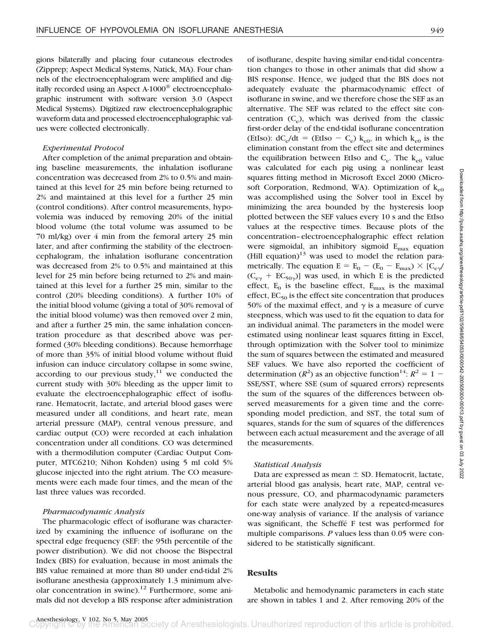gions bilaterally and placing four cutaneous electrodes (Zipprep; Aspect Medical Systems, Natick, MA). Four channels of the electroencephalogram were amplified and digitally recorded using an Aspect A-1000® electroencephalographic instrument with software version 3.0 (Aspect Medical Systems). Digitized raw electroencephalographic waveform data and processed electroencephalographic values were collected electronically.

## *Experimental Protocol*

After completion of the animal preparation and obtaining baseline measurements, the inhalation isoflurane concentration was decreased from 2% to 0.5% and maintained at this level for 25 min before being returned to 2% and maintained at this level for a further 25 min (control conditions). After control measurements, hypovolemia was induced by removing 20% of the initial blood volume (the total volume was assumed to be 70 ml/kg) over 4 min from the femoral artery 25 min later, and after confirming the stability of the electroencephalogram, the inhalation isoflurane concentration was decreased from 2% to 0.5% and maintained at this level for 25 min before being returned to 2% and maintained at this level for a further 25 min, similar to the control (20% bleeding conditions). A further 10% of the initial blood volume (giving a total of 30% removal of the initial blood volume) was then removed over 2 min, and after a further 25 min, the same inhalation concentration procedure as that described above was performed (30% bleeding conditions). Because hemorrhage of more than 35% of initial blood volume without fluid infusion can induce circulatory collapse in some swine, according to our previous study, $11$  we conducted the current study with 30% bleeding as the upper limit to evaluate the electroencephalographic effect of isoflurane. Hematocrit, lactate, and arterial blood gases were measured under all conditions, and heart rate, mean arterial pressure (MAP), central venous pressure, and cardiac output (CO) were recorded at each inhalation concentration under all conditions. CO was determined with a thermodilution computer (Cardiac Output Computer, MTC6210; Nihon Kohden) using 5 ml cold 5% glucose injected into the right atrium. The CO measurements were each made four times, and the mean of the last three values was recorded.

#### *Pharmacodynamic Analysis*

The pharmacologic effect of isoflurane was characterized by examining the influence of isoflurane on the spectral edge frequency (SEF: the 95th percentile of the power distribution). We did not choose the Bispectral Index (BIS) for evaluation, because in most animals the BIS value remained at more than 80 under end-tidal 2% isoflurane anesthesia (approximately 1.3 minimum alveolar concentration in swine).<sup>12</sup> Furthermore, some animals did not develop a BIS response after administration of isoflurane, despite having similar end-tidal concentration changes to those in other animals that did show a BIS response. Hence, we judged that the BIS does not adequately evaluate the pharmacodynamic effect of isoflurane in swine, and we therefore chose the SEF as an alternative. The SEF was related to the effect site concentration  $(C_e)$ , which was derived from the classic first-order delay of the end-tidal isoflurane concentration (EtIso):  $dC_e/dt =$  (EtIso -  $C_e$ )  $k_{e0}$ , in which  $k_{e0}$  is the elimination constant from the effect site and determines the equilibration between EtIso and  $C_{e}$ . The  $k_{e0}$  value was calculated for each pig using a nonlinear least squares fitting method in Microsoft Excel 2000 (Microsoft Corporation, Redmond, WA). Optimization of  $k_{e0}$ was accomplished using the Solver tool in Excel by minimizing the area bounded by the hysteresis loop plotted between the SEF values every 10 s and the EtIso values at the respective times. Because plots of the concentration–electroencephalographic effect relation were sigmoidal, an inhibitory sigmoid  $E_{\text{max}}$  equation (Hill equation)<sup>13</sup> was used to model the relation parametrically. The equation  $E = E_0 - (E_0 - E_{max}) \times (C_{e\gamma}/$  $(C_{\rm ev} + EC_{50\gamma})$  was used, in which E is the predicted effect,  $E_0$  is the baseline effect,  $E_{\text{max}}$  is the maximal effect,  $EC_{50}$  is the effect site concentration that produces 50% of the maximal effect, and  $\gamma$  is a measure of curve steepness, which was used to fit the equation to data for an individual animal. The parameters in the model were estimated using nonlinear least squares fitting in Excel, through optimization with the Solver tool to minimize the sum of squares between the estimated and measured SEF values. We have also reported the coefficient of determination ( $R^2$ ) as an objective function<sup>14</sup>:  $R^2 = 1 -$ SSE/SST, where SSE (sum of squared errors) represents the sum of the squares of the differences between observed measurements for a given time and the corresponding model prediction, and SST, the total sum of squares, stands for the sum of squares of the differences between each actual measurement and the average of all the measurements.

#### *Statistical Analysis*

Data are expressed as mean  $\pm$  SD. Hematocrit, lactate, arterial blood gas analysis, heart rate, MAP, central venous pressure, CO, and pharmacodynamic parameters for each state were analyzed by a repeated-measures one-way analysis of variance. If the analysis of variance was significant, the Scheffé F test was performed for multiple comparisons. *P* values less than 0.05 were considered to be statistically significant.

# **Results**

Metabolic and hemodynamic parameters in each state are shown in tables 1 and 2. After removing 20% of the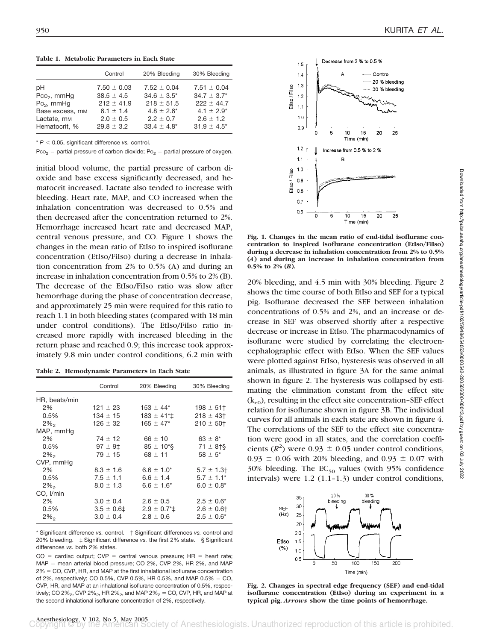**Table 1. Metabolic Parameters in Each State**

|                 | Control         | 20% Bleeding     | 30% Bleeding     |
|-----------------|-----------------|------------------|------------------|
| рH              | $7.50 \pm 0.03$ | $7.52 \pm 0.04$  | $7.51 \pm 0.04$  |
| $PCO2$ , mmHq   | $38.5 \pm 4.5$  | $34.6 \pm 3.5^*$ | $34.7 \pm 3.7^*$ |
| $Po2$ , mmHg    | $212 + 41.9$    | $218 \pm 51.5$   | $222 + 44.7$     |
| Base excess, mm | $6.1 + 1.4$     | $4.8 \pm 2.6^*$  | $4.1 \pm 2.9^*$  |
| Lactate, mm     | $2.0 \pm 0.5$   | $2.2 \pm 0.7$    | $2.6 \pm 1.2$    |
| Hematocrit. %   | $29.8 \pm 3.2$  | $33.4 \pm 4.8^*$ | $31.9 \pm 4.5^*$ |

 $* P < 0.05$ , significant difference *vs.* control.

 $Pco<sub>2</sub>$  = partial pressure of carbon dioxide;  $Po<sub>2</sub>$  = partial pressure of oxygen.

initial blood volume, the partial pressure of carbon dioxide and base excess significantly decreased, and hematocrit increased. Lactate also tended to increase with bleeding. Heart rate, MAP, and CO increased when the inhalation concentration was decreased to 0.5% and then decreased after the concentration returned to 2%. Hemorrhage increased heart rate and decreased MAP, central venous pressure, and CO. Figure 1 shows the changes in the mean ratio of EtIso to inspired isoflurane concentration (EtIso/FiIso) during a decrease in inhalation concentration from 2% to 0.5% (A) and during an increase in inhalation concentration from 0.5% to 2% (B). The decrease of the EtIso/FiIso ratio was slow after hemorrhage during the phase of concentration decrease, and approximately 25 min were required for this ratio to reach 1.1 in both bleeding states (compared with 18 min under control conditions). The EtIso/FiIso ratio increased more rapidly with increased bleeding in the return phase and reached 0.9; this increase took approximately 9.8 min under control conditions, 6.2 min with

|  | Table 2. Hemodynamic Parameters in Each State |  |  |  |  |
|--|-----------------------------------------------|--|--|--|--|
|--|-----------------------------------------------|--|--|--|--|

|               | Control         | 20% Bleeding               | 30% Bleeding              |
|---------------|-----------------|----------------------------|---------------------------|
| HR, beats/min |                 |                            |                           |
| 2%            | $121 \pm 23$    | $153 \pm 44^*$             | $198 \pm 51$              |
| $0.5\%$       | $134 \pm 15$    | $183 \pm 41$ <sup>*</sup>  | $218 \pm 43$ <sup>+</sup> |
| $2\%$         | $126 \pm 32$    | $165 \pm 47$ *             | $210 \pm 50$ <sup>+</sup> |
| MAP, mmHq     |                 |                            |                           |
| 2%            | $74 \pm 12$     | $66 \pm 10$                | $63 \pm 8^*$              |
| $0.5\%$       | $97 \pm 9$ ‡    | $85 \pm 10$ <sup>*</sup> § | $71 \pm 8$ <sup>t</sup>   |
| $2\%$         | $79 \pm 15$     | $68 \pm 11$                | $58 \pm 5^*$              |
| CVP, mmHq     |                 |                            |                           |
| 2%            | $8.3 \pm 1.6$   | $6.6 \pm 1.0^*$            | $5.7 \pm 1.3$ †           |
| 0.5%          | $7.5 \pm 1.1$   | $6.6 \pm 1.4$              | $5.7 \pm 1.1^*$           |
| $2\%$         | $8.0 \pm 1.3$   | $6.6 \pm 1.6^*$            | $6.0 \pm 0.8^*$           |
| CO, I/min     |                 |                            |                           |
| 2%            | $3.0 \pm 0.4$   | $2.6 \pm 0.5$              | $2.5 \pm 0.6^*$           |
| $0.5\%$       | $3.5 \pm 0.6$ ‡ | $2.9 \pm 0.7$ <sup>*</sup> | $2.6 \pm 0.6$ †           |
| $2\%$         | $3.0 \pm 0.4$   | $2.8 \pm 0.6$              | $2.5 \pm 0.6^*$           |

\* Significant difference *vs.* control. † Significant differences *vs.* control and 20% bleeding. ‡ Significant difference *vs.* the first 2% state. § Significant differences *vs.* both 2% states.

 $CO =$  cardiac output;  $CVP =$  central venous pressure;  $HR =$  heart rate; MAP = mean arterial blood pressure; CO 2%, CVP 2%, HR 2%, and MAP 2% - CO, CVP, HR, and MAP at the first inhalational isoflurane concentration of 2%, respectively; CO 0.5%, CVP 0.5%, HR 0.5%, and MAP 0.5% - CO, CVP, HR, and MAP at an inhalational isoflurane concentration of 0.5%, respectively; CO 2% $_2$ , CVP 2% $_2$ , HR 2% $_2$ , and MAP 2% $_2$  = CO, CVP, HR, and MAP at the second inhalational isoflurane concentration of 2%, respectively.



**Fig. 1. Changes in the mean ratio of end-tidal isoflurane concentration to inspired isoflurane concentration (EtIso/FiIso) during a decrease in inhalation concentration from 2% to 0.5% (***A***) and during an increase in inhalation concentration from 0.5% to 2% (***B***).**

20% bleeding, and 4.5 min with 30% bleeding. Figure 2 shows the time course of both EtIso and SEF for a typical pig. Isoflurane decreased the SEF between inhalation concentrations of 0.5% and 2%, and an increase or decrease in SEF was observed shortly after a respective decrease or increase in EtIso. The pharmacodynamics of isoflurane were studied by correlating the electroencephalographic effect with EtIso. When the SEF values were plotted against EtIso, hysteresis was observed in all animals, as illustrated in figure 3A for the same animal shown in figure 2. The hysteresis was collapsed by estimating the elimination constant from the effect site  $(k_{e0})$ , resulting in the effect site concentration–SEF effect relation for isoflurane shown in figure 3B. The individual curves for all animals in each state are shown in figure 4. The correlations of the SEF to the effect site concentration were good in all states, and the correlation coefficients  $(R^2)$  were 0.93  $\pm$  0.05 under control conditions,  $0.93 \pm 0.06$  with 20% bleeding, and  $0.93 \pm 0.07$  with 30% bleeding. The  $EC_{50}$  values (with 95% confidence intervals) were 1.2 (1.1–1.3) under control conditions,



**Fig. 2. Changes in spectral edge frequency (SEF) and end-tidal isoflurane concentration (EtIso) during an experiment in a typical pig.** *Arrows* **show the time points of hemorrhage.**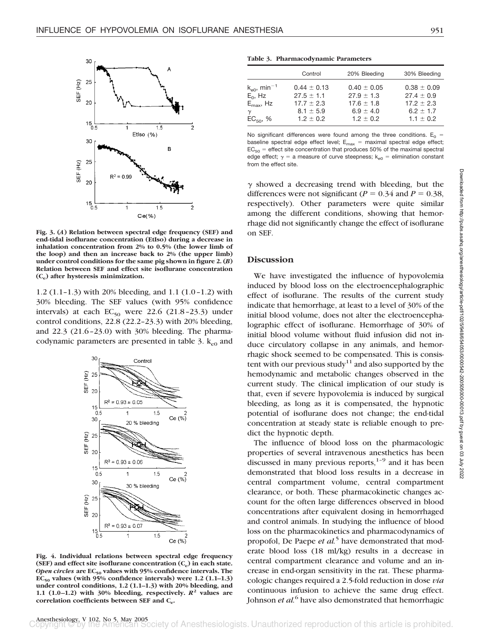

**Fig. 3. (***A***) Relation between spectral edge frequency (SEF) and end-tidal isoflurane concentration (EtIso) during a decrease in inhalation concentration from 2% to 0.5% (the lower limb of the loop) and then an increase back to 2% (the upper limb) under control conditions for the same pig shown in figure 2. (***B***) Relation between SEF and effect site isoflurane concentration (Ce) after hysteresis minimization.**

1.2 (1.1–1.3) with 20% bleeding, and 1.1 (1.0–1.2) with 30% bleeding. The SEF values (with 95% confidence intervals) at each  $EC_{50}$  were 22.6 (21.8-23.3) under control conditions, 22.8 (22.2–23.3) with 20% bleeding, and 22.3 (21.6–23.0) with 30% bleeding. The pharmacodynamic parameters are presented in table 3.  $k_{e0}$  and



**Fig. 4. Individual relations between spectral edge frequency** (SEF) and effect site isoflurane concentration (C<sub>e</sub>) in each state. *Open circles* are EC<sub>50</sub> values with 95% confidence intervals. The  $EC_{50}$  values (with  $95\%$  confidence intervals) were 1.2 (1.1–1.3) **under control conditions, 1.2 (1.1–1.3) with 20% bleeding, and 1.1** (1.0–1.2) with 30% bleeding, respectively.  $R^2$  values are correlation coefficients between SEF and C<sub>e</sub>.

|  | Table 3. Pharmacodynamic Parameters |  |  |
|--|-------------------------------------|--|--|
|--|-------------------------------------|--|--|

|                                     | Control         | 20% Bleeding    | 30% Bleeding    |
|-------------------------------------|-----------------|-----------------|-----------------|
| $k_{\text{e}0}$ , min <sup>-1</sup> | $0.44 \pm 0.13$ | $0.40 \pm 0.05$ | $0.38 \pm 0.09$ |
| $E_0$ , Hz                          | $27.5 \pm 1.1$  | $27.9 \pm 1.3$  | $27.4 \pm 0.9$  |
| $E_{\text{max}}$ , Hz               | $17.7 \pm 2.3$  | $17.6 \pm 1.8$  | $17.2 \pm 2.3$  |
| $\gamma$                            | $8.1 \pm 5.9$   | $6.9 \pm 4.0$   | $6.2 \pm 1.7$   |
| $EC_{50}$ , %                       | $1.2 \pm 0.2$   | $1.2 + 0.2$     | $1.1 + 0.2$     |

No significant differences were found among the three conditions.  $E_0 =$ baseline spectral edge effect level;  $E_{\text{max}}$  = maximal spectral edge effect;  $EC_{50}$  = effect site concentration that produces 50% of the maximal spectral edge effect;  $\gamma$  = a measure of curve steepness;  $k_{e0}$  = elimination constant from the effect site.

 $\gamma$  showed a decreasing trend with bleeding, but the differences were not significant ( $P = 0.34$  and  $P = 0.38$ , respectively). Other parameters were quite similar among the different conditions, showing that hemorrhage did not significantly change the effect of isoflurane on SEF.

## **Discussion**

We have investigated the influence of hypovolemia induced by blood loss on the electroencephalographic effect of isoflurane. The results of the current study indicate that hemorrhage, at least to a level of 30% of the initial blood volume, does not alter the electroencephalographic effect of isoflurane. Hemorrhage of 30% of initial blood volume without fluid infusion did not induce circulatory collapse in any animals, and hemorrhagic shock seemed to be compensated. This is consistent with our previous study<sup>11</sup> and also supported by the hemodynamic and metabolic changes observed in the current study. The clinical implication of our study is that, even if severe hypovolemia is induced by surgical bleeding, as long as it is compensated, the hypnotic potential of isoflurane does not change; the end-tidal concentration at steady state is reliable enough to predict the hypnotic depth.

The influence of blood loss on the pharmacologic properties of several intravenous anesthetics has been discussed in many previous reports, $1-9$  and it has been demonstrated that blood loss results in a decrease in central compartment volume, central compartment clearance, or both. These pharmacokinetic changes account for the often large differences observed in blood concentrations after equivalent dosing in hemorrhaged and control animals. In studying the influence of blood loss on the pharmacokinetics and pharmacodynamics of propofol, De Paepe *et al.*<sup>5</sup> have demonstrated that moderate blood loss (18 ml/kg) results in a decrease in central compartment clearance and volume and an increase in end-organ sensitivity in the rat. These pharmacologic changes required a 2.5-fold reduction in dose *via* continuous infusion to achieve the same drug effect. Johnson *et al.*<sup>6</sup> have also demonstrated that hemorrhagic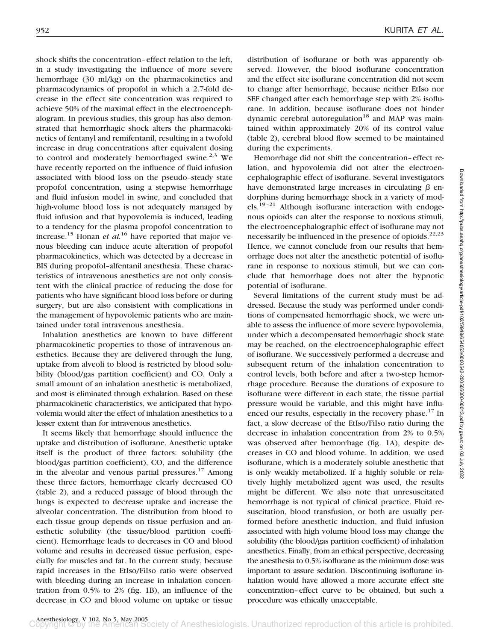shock shifts the concentration–effect relation to the left, in a study investigating the influence of more severe hemorrhage (30 ml/kg) on the pharmacokinetics and pharmacodynamics of propofol in which a 2.7-fold decrease in the effect site concentration was required to achieve 50% of the maximal effect in the electroencephalogram. In previous studies, this group has also demonstrated that hemorrhagic shock alters the pharmacokinetics of fentanyl and remifentanil, resulting in a twofold increase in drug concentrations after equivalent dosing to control and moderately hemorrhaged swine. $2,3$  We have recently reported on the influence of fluid infusion associated with blood loss on the pseudo–steady state propofol concentration, using a stepwise hemorrhage and fluid infusion model in swine, and concluded that high-volume blood loss is not adequately managed by fluid infusion and that hypovolemia is induced, leading to a tendency for the plasma propofol concentration to increase.15 Honan *et al.*<sup>16</sup> have reported that major venous bleeding can induce acute alteration of propofol pharmacokinetics, which was detected by a decrease in BIS during propofol–alfentanil anesthesia. These characteristics of intravenous anesthetics are not only consistent with the clinical practice of reducing the dose for patients who have significant blood loss before or during surgery, but are also consistent with complications in the management of hypovolemic patients who are maintained under total intravenous anesthesia.

Inhalation anesthetics are known to have different pharmacokinetic properties to those of intravenous anesthetics. Because they are delivered through the lung, uptake from alveoli to blood is restricted by blood solubility (blood/gas partition coefficient) and CO. Only a small amount of an inhalation anesthetic is metabolized, and most is eliminated through exhalation. Based on these pharmacokinetic characteristics, we anticipated that hypovolemia would alter the effect of inhalation anesthetics to a lesser extent than for intravenous anesthetics.

It seems likely that hemorrhage should influence the uptake and distribution of isoflurane. Anesthetic uptake itself is the product of three factors: solubility (the blood/gas partition coefficient), CO, and the difference in the alveolar and venous partial pressures.<sup>17</sup> Among these three factors, hemorrhage clearly decreased CO (table 2), and a reduced passage of blood through the lungs is expected to decrease uptake and increase the alveolar concentration. The distribution from blood to each tissue group depends on tissue perfusion and anesthetic solubility (the tissue/blood partition coefficient). Hemorrhage leads to decreases in CO and blood volume and results in decreased tissue perfusion, especially for muscles and fat. In the current study, because rapid increases in the EtIso/FiIso ratio were observed with bleeding during an increase in inhalation concentration from 0.5% to 2% (fig. 1B), an influence of the decrease in CO and blood volume on uptake or tissue distribution of isoflurane or both was apparently observed. However, the blood isoflurane concentration and the effect site isoflurane concentration did not seem to change after hemorrhage, because neither EtIso nor SEF changed after each hemorrhage step with 2% isoflurane. In addition, because isoflurane does not hinder dynamic cerebral autoregulation<sup>18</sup> and MAP was maintained within approximately 20% of its control value (table 2), cerebral blood flow seemed to be maintained during the experiments.

Hemorrhage did not shift the concentration–effect relation, and hypovolemia did not alter the electroencephalographic effect of isoflurane. Several investigators have demonstrated large increases in circulating  $\beta$  endorphins during hemorrhage shock in a variety of models.<sup>19-21</sup> Although isoflurane interaction with endogenous opioids can alter the response to noxious stimuli, the electroencephalographic effect of isoflurane may not necessarily be influenced in the presence of opioids. $22,23$ Hence, we cannot conclude from our results that hemorrhage does not alter the anesthetic potential of isoflurane in response to noxious stimuli, but we can conclude that hemorrhage does not alter the hypnotic potential of isoflurane.

Several limitations of the current study must be addressed. Because the study was performed under conditions of compensated hemorrhagic shock, we were unable to assess the influence of more severe hypovolemia, under which a decompensated hemorrhagic shock state may be reached, on the electroencephalographic effect of isoflurane. We successively performed a decrease and subsequent return of the inhalation concentration to control levels, both before and after a two-step hemorrhage procedure. Because the durations of exposure to isoflurane were different in each state, the tissue partial pressure would be variable, and this might have influenced our results, especially in the recovery phase.<sup>17</sup> In fact, a slow decrease of the EtIso/FiIso ratio during the decrease in inhalation concentration from 2% to 0.5% was observed after hemorrhage (fig. 1A), despite decreases in CO and blood volume. In addition, we used isoflurane, which is a moderately soluble anesthetic that is only weakly metabolized. If a highly soluble or relatively highly metabolized agent was used, the results might be different. We also note that unresuscitated hemorrhage is not typical of clinical practice. Fluid resuscitation, blood transfusion, or both are usually performed before anesthetic induction, and fluid infusion associated with high volume blood loss may change the solubility (the blood/gas partition coefficient) of inhalation anesthetics. Finally, from an ethical perspective, decreasing the anesthesia to 0.5% isoflurane as the minimum dose was important to assure sedation. Discontinuing isoflurane inhalation would have allowed a more accurate effect site concentration–effect curve to be obtained, but such a procedure was ethically unacceptable.